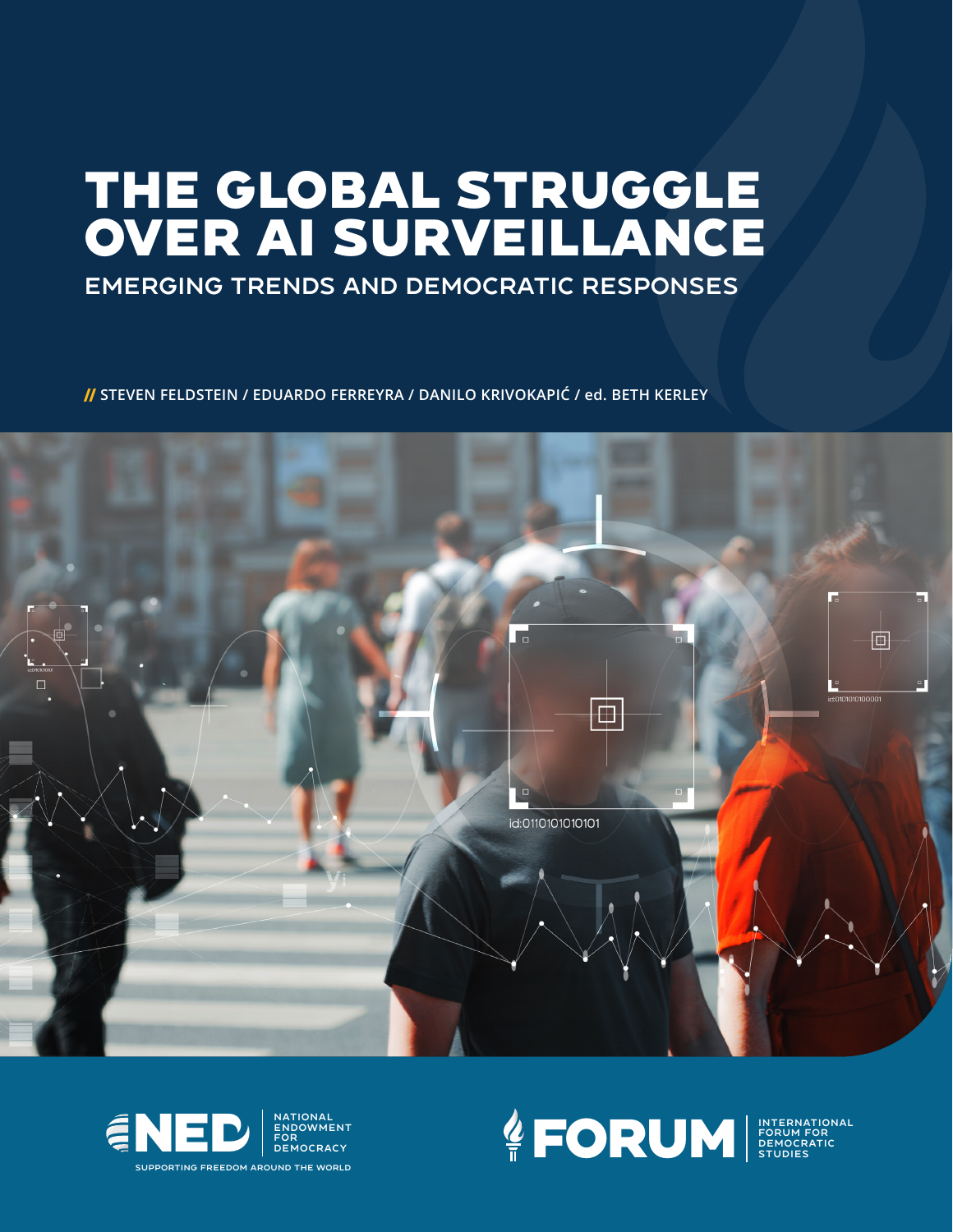# THE GLOBAL STRUGGLE OVER AI SURVEILLANCE

### Emerging Trends and Democratic Responses

// **STEVEN FELDSTEIN / EDUARDO FERREYRA / DANILO KRIVOKAPIĆ / ed. BETH KERLEY**







FORUM FOR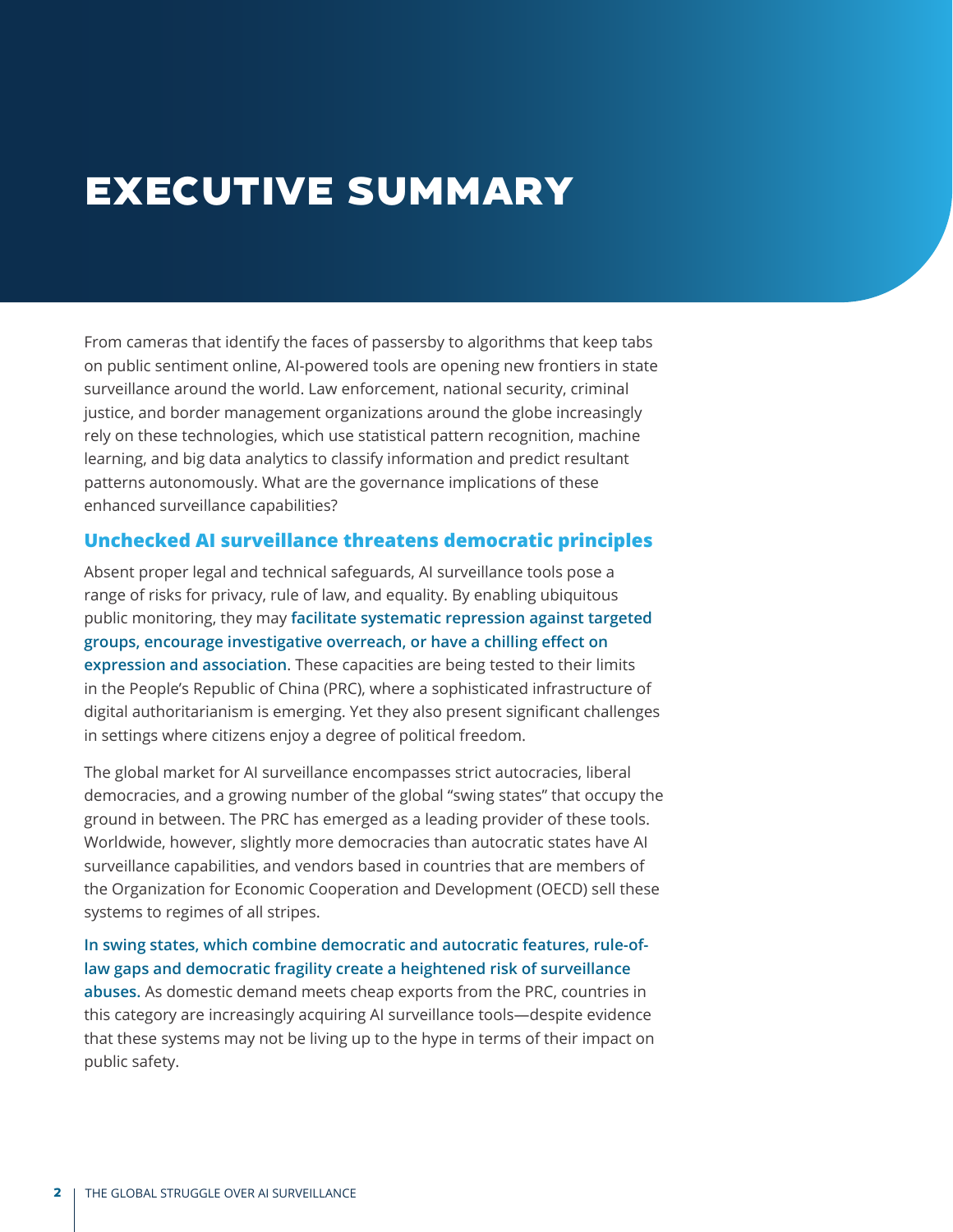## Executive Summary

From cameras that identify the faces of passersby to algorithms that keep tabs on public sentiment online, AI-powered tools are opening new frontiers in state surveillance around the world. Law enforcement, national security, criminal justice, and border management organizations around the globe increasingly rely on these technologies, which use statistical pattern recognition, machine learning, and big data analytics to classify information and predict resultant patterns autonomously. What are the governance implications of these enhanced surveillance capabilities?

#### **Unchecked AI surveillance threatens democratic principles**

Absent proper legal and technical safeguards, AI surveillance tools pose a range of risks for privacy, rule of law, and equality. By enabling ubiquitous public monitoring, they may **facilitate systematic repression against targeted groups, encourage investigative overreach, or have a chilling effect on expression and association**. These capacities are being tested to their limits in the People's Republic of China (PRC), where a sophisticated infrastructure of digital authoritarianism is emerging. Yet they also present significant challenges in settings where citizens enjoy a degree of political freedom.

The global market for AI surveillance encompasses strict autocracies, liberal democracies, and a growing number of the global "swing states" that occupy the ground in between. The PRC has emerged as a leading provider of these tools. Worldwide, however, slightly more democracies than autocratic states have AI surveillance capabilities, and vendors based in countries that are members of the Organization for Economic Cooperation and Development (OECD) sell these systems to regimes of all stripes.

**In swing states, which combine democratic and autocratic features, rule-oflaw gaps and democratic fragility create a heightened risk of surveillance abuses.** As domestic demand meets cheap exports from the PRC, countries in this category are increasingly acquiring AI surveillance tools—despite evidence that these systems may not be living up to the hype in terms of their impact on public safety.